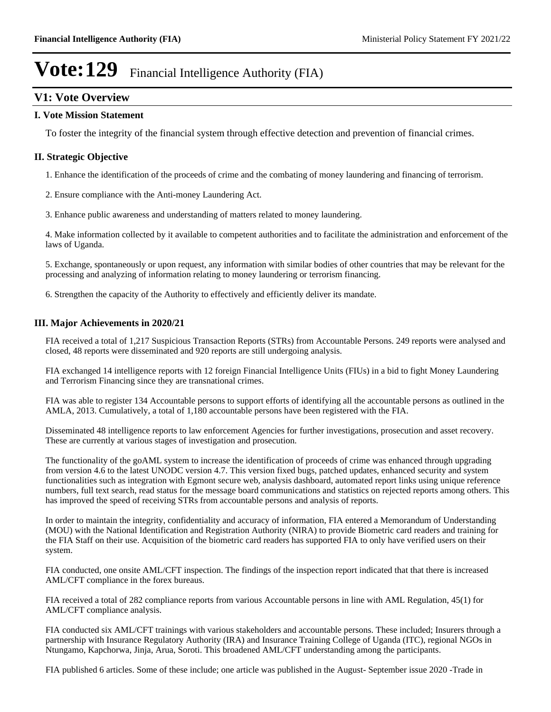## **V1: Vote Overview**

#### **I. Vote Mission Statement**

To foster the integrity of the financial system through effective detection and prevention of financial crimes.

### **II. Strategic Objective**

1. Enhance the identification of the proceeds of crime and the combating of money laundering and financing of terrorism.

2. Ensure compliance with the Anti-money Laundering Act.

3. Enhance public awareness and understanding of matters related to money laundering.

4. Make information collected by it available to competent authorities and to facilitate the administration and enforcement of the laws of Uganda.

5. Exchange, spontaneously or upon request, any information with similar bodies of other countries that may be relevant for the processing and analyzing of information relating to money laundering or terrorism financing.

6. Strengthen the capacity of the Authority to effectively and efficiently deliver its mandate.

#### **III. Major Achievements in 2020/21**

FIA received a total of 1,217 Suspicious Transaction Reports (STRs) from Accountable Persons. 249 reports were analysed and closed, 48 reports were disseminated and 920 reports are still undergoing analysis.

FIA exchanged 14 intelligence reports with 12 foreign Financial Intelligence Units (FIUs) in a bid to fight Money Laundering and Terrorism Financing since they are transnational crimes.

FIA was able to register 134 Accountable persons to support efforts of identifying all the accountable persons as outlined in the AMLA, 2013. Cumulatively, a total of 1,180 accountable persons have been registered with the FIA.

Disseminated 48 intelligence reports to law enforcement Agencies for further investigations, prosecution and asset recovery. These are currently at various stages of investigation and prosecution.

The functionality of the goAML system to increase the identification of proceeds of crime was enhanced through upgrading from version 4.6 to the latest UNODC version 4.7. This version fixed bugs, patched updates, enhanced security and system functionalities such as integration with Egmont secure web, analysis dashboard, automated report links using unique reference numbers, full text search, read status for the message board communications and statistics on rejected reports among others. This has improved the speed of receiving STRs from accountable persons and analysis of reports.

In order to maintain the integrity, confidentiality and accuracy of information, FIA entered a Memorandum of Understanding (MOU) with the National Identification and Registration Authority (NIRA) to provide Biometric card readers and training for the FIA Staff on their use. Acquisition of the biometric card readers has supported FIA to only have verified users on their system.

FIA conducted, one onsite AML/CFT inspection. The findings of the inspection report indicated that that there is increased AML/CFT compliance in the forex bureaus.

FIA received a total of 282 compliance reports from various Accountable persons in line with AML Regulation, 45(1) for AML/CFT compliance analysis.

FIA conducted six AML/CFT trainings with various stakeholders and accountable persons. These included; Insurers through a partnership with Insurance Regulatory Authority (IRA) and Insurance Training College of Uganda (ITC), regional NGOs in Ntungamo, Kapchorwa, Jinja, Arua, Soroti. This broadened AML/CFT understanding among the participants.

FIA published 6 articles. Some of these include; one article was published in the August- September issue 2020 -Trade in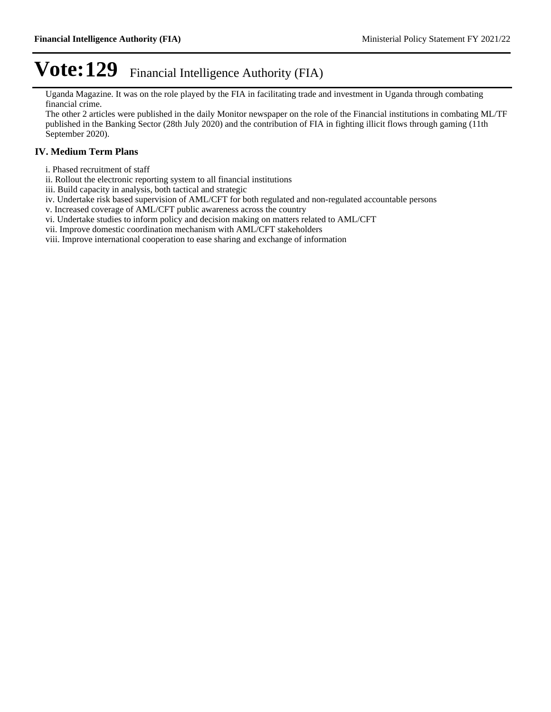Uganda Magazine. It was on the role played by the FIA in facilitating trade and investment in Uganda through combating financial crime.

The other 2 articles were published in the daily Monitor newspaper on the role of the Financial institutions in combating ML/TF published in the Banking Sector (28th July 2020) and the contribution of FIA in fighting illicit flows through gaming (11th September 2020).

### **IV. Medium Term Plans**

- i. Phased recruitment of staff
- ii. Rollout the electronic reporting system to all financial institutions
- iii. Build capacity in analysis, both tactical and strategic
- iv. Undertake risk based supervision of AML/CFT for both regulated and non-regulated accountable persons
- v. Increased coverage of AML/CFT public awareness across the country
- vi. Undertake studies to inform policy and decision making on matters related to AML/CFT
- vii. Improve domestic coordination mechanism with AML/CFT stakeholders

viii. Improve international cooperation to ease sharing and exchange of information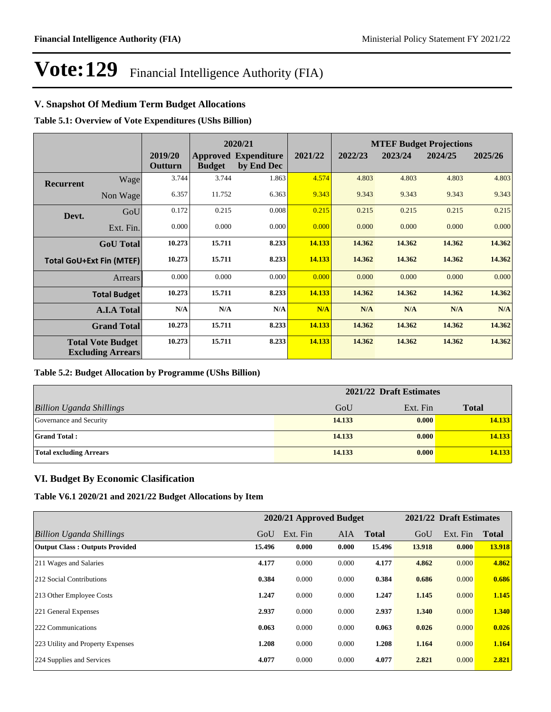### **V. Snapshot Of Medium Term Budget Allocations**

**Table 5.1: Overview of Vote Expenditures (UShs Billion)**

|                  |                                                      |                    | 2020/21       |                                           |         |         |         |         |         | <b>MTEF Budget Projections</b> |  |
|------------------|------------------------------------------------------|--------------------|---------------|-------------------------------------------|---------|---------|---------|---------|---------|--------------------------------|--|
|                  |                                                      | 2019/20<br>Outturn | <b>Budget</b> | <b>Approved Expenditure</b><br>by End Dec | 2021/22 | 2022/23 | 2023/24 | 2024/25 | 2025/26 |                                |  |
| <b>Recurrent</b> | Wage                                                 | 3.744              | 3.744         | 1.863                                     | 4.574   | 4.803   | 4.803   | 4.803   | 4.803   |                                |  |
|                  | Non Wage                                             | 6.357              | 11.752        | 6.363                                     | 9.343   | 9.343   | 9.343   | 9.343   | 9.343   |                                |  |
| Devt.            | GoU                                                  | 0.172              | 0.215         | 0.008                                     | 0.215   | 0.215   | 0.215   | 0.215   | 0.215   |                                |  |
|                  | Ext. Fin.                                            | 0.000              | 0.000         | 0.000                                     | 0.000   | 0.000   | 0.000   | 0.000   | 0.000   |                                |  |
|                  | <b>GoU</b> Total                                     | 10.273             | 15.711        | 8.233                                     | 14.133  | 14.362  | 14.362  | 14.362  | 14.362  |                                |  |
|                  | <b>Total GoU+Ext Fin (MTEF)</b>                      | 10.273             | 15.711        | 8.233                                     | 14.133  | 14.362  | 14.362  | 14.362  | 14.362  |                                |  |
|                  | <b>Arrears</b>                                       | 0.000              | 0.000         | 0.000                                     | 0.000   | 0.000   | 0.000   | 0.000   | 0.000   |                                |  |
|                  | <b>Total Budget</b>                                  | 10.273             | 15.711        | 8.233                                     | 14.133  | 14.362  | 14.362  | 14.362  | 14.362  |                                |  |
|                  | <b>A.I.A Total</b>                                   | N/A                | N/A           | N/A                                       | N/A     | N/A     | N/A     | N/A     | N/A     |                                |  |
|                  | <b>Grand Total</b>                                   | 10.273             | 15.711        | 8.233                                     | 14.133  | 14.362  | 14.362  | 14.362  | 14.362  |                                |  |
|                  | <b>Total Vote Budget</b><br><b>Excluding Arrears</b> | 10.273             | 15.711        | 8.233                                     | 14.133  | 14.362  | 14.362  | 14.362  | 14.362  |                                |  |

#### **Table 5.2: Budget Allocation by Programme (UShs Billion)**

|                                 | 2021/22 Draft Estimates |          |              |  |  |
|---------------------------------|-------------------------|----------|--------------|--|--|
| <b>Billion Uganda Shillings</b> | GoU                     | Ext. Fin | <b>Total</b> |  |  |
| Governance and Security         | 14.133                  | 0.000    | 14.133       |  |  |
| <b>Grand Total:</b>             | 14.133                  | 0.000    | 14.133       |  |  |
| <b>Total excluding Arrears</b>  | 14.133                  | 0.000    | 14.133       |  |  |

### **VI. Budget By Economic Clasification**

**Table V6.1 2020/21 and 2021/22 Budget Allocations by Item**

|                                       | 2020/21 Approved Budget |          |            |              | 2021/22 Draft Estimates |          |              |
|---------------------------------------|-------------------------|----------|------------|--------------|-------------------------|----------|--------------|
| Billion Uganda Shillings              | GoU                     | Ext. Fin | <b>AIA</b> | <b>Total</b> | GoU                     | Ext. Fin | <b>Total</b> |
| <b>Output Class: Outputs Provided</b> | 15.496                  | 0.000    | 0.000      | 15.496       | 13.918                  | 0.000    | 13.918       |
| 211 Wages and Salaries                | 4.177                   | 0.000    | 0.000      | 4.177        | 4.862                   | 0.000    | 4.862        |
| 212 Social Contributions              | 0.384                   | 0.000    | 0.000      | 0.384        | 0.686                   | 0.000    | 0.686        |
| 213 Other Employee Costs              | 1.247                   | 0.000    | 0.000      | 1.247        | 1.145                   | 0.000    | 1.145        |
| 221 General Expenses                  | 2.937                   | 0.000    | 0.000      | 2.937        | 1.340                   | 0.000    | 1.340        |
| 222 Communications                    | 0.063                   | 0.000    | 0.000      | 0.063        | 0.026                   | 0.000    | 0.026        |
| 223 Utility and Property Expenses     | 1.208                   | 0.000    | 0.000      | 1.208        | 1.164                   | 0.000    | 1.164        |
| 224 Supplies and Services             | 4.077                   | 0.000    | 0.000      | 4.077        | 2.821                   | 0.000    | 2.821        |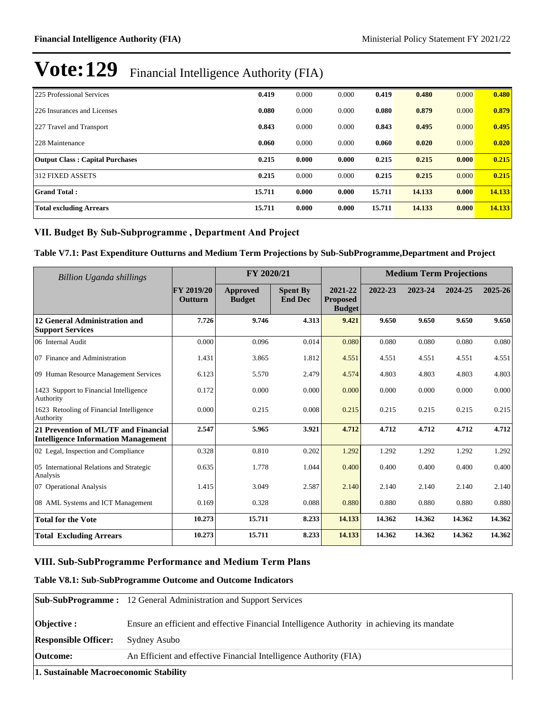| 225 Professional Services              | 0.419  | 0.000 | 0.000 | 0.419  | 0.480  | 0.000 | 0.480  |
|----------------------------------------|--------|-------|-------|--------|--------|-------|--------|
| 226 Insurances and Licenses            | 0.080  | 0.000 | 0.000 | 0.080  | 0.879  | 0.000 | 0.879  |
| 227 Travel and Transport               | 0.843  | 0.000 | 0.000 | 0.843  | 0.495  | 0.000 | 0.495  |
| 228 Maintenance                        | 0.060  | 0.000 | 0.000 | 0.060  | 0.020  | 0.000 | 0.020  |
| <b>Output Class: Capital Purchases</b> | 0.215  | 0.000 | 0.000 | 0.215  | 0.215  | 0.000 | 0.215  |
| 312 FIXED ASSETS                       | 0.215  | 0.000 | 0.000 | 0.215  | 0.215  | 0.000 | 0.215  |
| <b>Grand Total:</b>                    | 15.711 | 0.000 | 0.000 | 15.711 | 14.133 | 0.000 | 14.133 |
| <b>Total excluding Arrears</b>         | 15.711 | 0.000 | 0.000 | 15.711 | 14.133 | 0.000 | 14.133 |

### VII. Budget By Sub-Subprogramme, Department And Project

### **Table V7.1: Past Expenditure Outturns and Medium Term Projections by Sub-SubProgramme,Department and Project**

| <b>Billion Uganda shillings</b>                                                    | FY 2020/21                          |                           |                                   | <b>Medium Term Projections</b>              |         |         |         |         |
|------------------------------------------------------------------------------------|-------------------------------------|---------------------------|-----------------------------------|---------------------------------------------|---------|---------|---------|---------|
|                                                                                    | <b>FY 2019/20</b><br><b>Outturn</b> | Approved<br><b>Budget</b> | <b>Spent By</b><br><b>End Dec</b> | 2021-22<br><b>Proposed</b><br><b>Budget</b> | 2022-23 | 2023-24 | 2024-25 | 2025-26 |
| <b>12 General Administration and</b><br><b>Support Services</b>                    | 7.726                               | 9.746                     | 4.313                             | 9.421                                       | 9.650   | 9.650   | 9.650   | 9.650   |
| 06 Internal Audit                                                                  | 0.000                               | 0.096                     | 0.014                             | 0.080                                       | 0.080   | 0.080   | 0.080   | 0.080   |
| 07 Finance and Administration                                                      | 1.431                               | 3.865                     | 1.812                             | 4.551                                       | 4.551   | 4.551   | 4.551   | 4.551   |
| 09 Human Resource Management Services                                              | 6.123                               | 5.570                     | 2.479                             | 4.574                                       | 4.803   | 4.803   | 4.803   | 4.803   |
| 1423 Support to Financial Intelligence<br>Authority                                | 0.172                               | 0.000                     | 0.000                             | 0.000                                       | 0.000   | 0.000   | 0.000   | 0.000   |
| 1623 Retooling of Financial Intelligence<br>Authority                              | 0.000                               | 0.215                     | 0.008                             | 0.215                                       | 0.215   | 0.215   | 0.215   | 0.215   |
| 21 Prevention of ML/TF and Financial<br><b>Intelligence Information Management</b> | 2.547                               | 5.965                     | 3.921                             | 4.712                                       | 4.712   | 4.712   | 4.712   | 4.712   |
| 02 Legal, Inspection and Compliance                                                | 0.328                               | 0.810                     | 0.202                             | 1.292                                       | 1.292   | 1.292   | 1.292   | 1.292   |
| 05 International Relations and Strategic<br>Analysis                               | 0.635                               | 1.778                     | 1.044                             | 0.400                                       | 0.400   | 0.400   | 0.400   | 0.400   |
| 07 Operational Analysis                                                            | 1.415                               | 3.049                     | 2.587                             | 2.140                                       | 2.140   | 2.140   | 2.140   | 2.140   |
| 08 AML Systems and ICT Management                                                  | 0.169                               | 0.328                     | 0.088                             | 0.880                                       | 0.880   | 0.880   | 0.880   | 0.880   |
| <b>Total for the Vote</b>                                                          | 10.273                              | 15.711                    | 8.233                             | 14.133                                      | 14.362  | 14.362  | 14.362  | 14.362  |
| <b>Total Excluding Arrears</b>                                                     | 10.273                              | 15.711                    | 8.233                             | 14.133                                      | 14.362  | 14.362  | 14.362  | 14.362  |

### **VIII. Sub-SubProgramme Performance and Medium Term Plans**

#### **Table V8.1: Sub-SubProgramme Outcome and Outcome Indicators**

|                             | <b>Sub-SubProgramme:</b> 12 General Administration and Support Services                     |
|-----------------------------|---------------------------------------------------------------------------------------------|
| <b>Objective :</b>          | Ensure an efficient and effective Financial Intelligence Authority in achieving its mandate |
| <b>Responsible Officer:</b> | Sydney Asubo                                                                                |
| Outcome:                    | An Efficient and effective Financial Intelligence Authority (FIA)                           |

**1. Sustainable Macroeconomic Stability**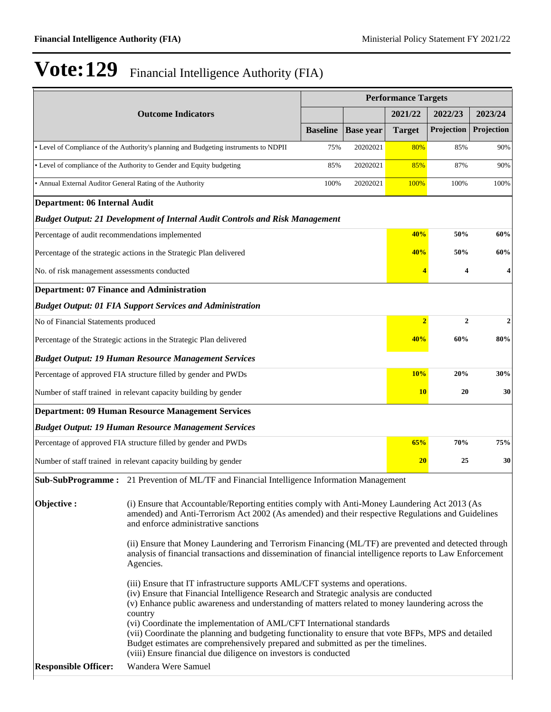|                                                           |                                                                                                                                                                                                                                                                                                                                                               | <b>Performance Targets</b> |               |                |                  |         |
|-----------------------------------------------------------|---------------------------------------------------------------------------------------------------------------------------------------------------------------------------------------------------------------------------------------------------------------------------------------------------------------------------------------------------------------|----------------------------|---------------|----------------|------------------|---------|
|                                                           | <b>Outcome Indicators</b>                                                                                                                                                                                                                                                                                                                                     |                            |               | 2021/22        | 2022/23          | 2023/24 |
|                                                           | <b>Baseline</b>                                                                                                                                                                                                                                                                                                                                               | <b>Base year</b>           | <b>Target</b> | Projection     | Projection       |         |
|                                                           | • Level of Compliance of the Authority's planning and Budgeting instruments to NDPII                                                                                                                                                                                                                                                                          | 75%                        | 20202021      | 80%            | 85%              | 90%     |
|                                                           | • Level of compliance of the Authority to Gender and Equity budgeting                                                                                                                                                                                                                                                                                         | 85%                        | 20202021      | 85%            | 87%              | 90%     |
| • Annual External Auditor General Rating of the Authority |                                                                                                                                                                                                                                                                                                                                                               | 100%                       | 20202021      | 100%           | 100%             | 100%    |
| Department: 06 Internal Audit                             |                                                                                                                                                                                                                                                                                                                                                               |                            |               |                |                  |         |
|                                                           | <b>Budget Output: 21 Development of Internal Audit Controls and Risk Management</b>                                                                                                                                                                                                                                                                           |                            |               |                |                  |         |
| Percentage of audit recommendations implemented           |                                                                                                                                                                                                                                                                                                                                                               |                            |               | 40%            | 50%              | 60%     |
|                                                           | Percentage of the strategic actions in the Strategic Plan delivered                                                                                                                                                                                                                                                                                           |                            |               | 40%            | 50%              | 60%     |
| No. of risk management assessments conducted              |                                                                                                                                                                                                                                                                                                                                                               |                            |               |                | 4                | 4       |
| <b>Department: 07 Finance and Administration</b>          |                                                                                                                                                                                                                                                                                                                                                               |                            |               |                |                  |         |
|                                                           | <b>Budget Output: 01 FIA Support Services and Administration</b>                                                                                                                                                                                                                                                                                              |                            |               |                |                  |         |
| No of Financial Statements produced                       |                                                                                                                                                                                                                                                                                                                                                               |                            |               | $\overline{2}$ | $\boldsymbol{2}$ | 2       |
|                                                           | Percentage of the Strategic actions in the Strategic Plan delivered                                                                                                                                                                                                                                                                                           |                            |               | 40%            | 60%              | 80%     |
|                                                           | <b>Budget Output: 19 Human Resource Management Services</b>                                                                                                                                                                                                                                                                                                   |                            |               |                |                  |         |
|                                                           | Percentage of approved FIA structure filled by gender and PWDs                                                                                                                                                                                                                                                                                                |                            |               | 10%            | 20%              | 30%     |
|                                                           | Number of staff trained in relevant capacity building by gender                                                                                                                                                                                                                                                                                               |                            |               | <b>10</b>      | 20               | 30      |
|                                                           | <b>Department: 09 Human Resource Management Services</b>                                                                                                                                                                                                                                                                                                      |                            |               |                |                  |         |
|                                                           | <b>Budget Output: 19 Human Resource Management Services</b>                                                                                                                                                                                                                                                                                                   |                            |               |                |                  |         |
|                                                           | Percentage of approved FIA structure filled by gender and PWDs                                                                                                                                                                                                                                                                                                |                            |               | 65%            | 70%              | 75%     |
|                                                           | Number of staff trained in relevant capacity building by gender                                                                                                                                                                                                                                                                                               |                            |               | 20             | 25               | 30      |
|                                                           | Sub-SubProgramme: 21 Prevention of ML/TF and Financial Intelligence Information Management                                                                                                                                                                                                                                                                    |                            |               |                |                  |         |
| Objective:                                                | (i) Ensure that Accountable/Reporting entities comply with Anti-Money Laundering Act 2013 (As<br>amended) and Anti-Terrorism Act 2002 (As amended) and their respective Regulations and Guidelines<br>and enforce administrative sanctions                                                                                                                    |                            |               |                |                  |         |
|                                                           | (ii) Ensure that Money Laundering and Terrorism Financing (ML/TF) are prevented and detected through<br>analysis of financial transactions and dissemination of financial intelligence reports to Law Enforcement<br>Agencies.                                                                                                                                |                            |               |                |                  |         |
|                                                           | (iii) Ensure that IT infrastructure supports AML/CFT systems and operations.<br>(iv) Ensure that Financial Intelligence Research and Strategic analysis are conducted<br>(v) Enhance public awareness and understanding of matters related to money laundering across the<br>country<br>(vi) Coordinate the implementation of AML/CFT International standards |                            |               |                |                  |         |
|                                                           | (vii) Coordinate the planning and budgeting functionality to ensure that vote BFPs, MPS and detailed<br>Budget estimates are comprehensively prepared and submitted as per the timelines.<br>(viii) Ensure financial due diligence on investors is conducted                                                                                                  |                            |               |                |                  |         |
| <b>Responsible Officer:</b>                               | Wandera Were Samuel                                                                                                                                                                                                                                                                                                                                           |                            |               |                |                  |         |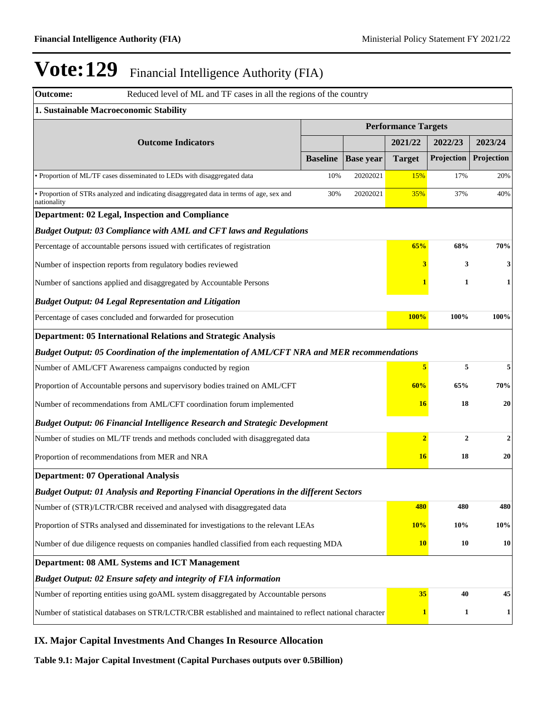| <b>Outcome:</b><br>Reduced level of ML and TF cases in all the regions of the country                    |                 |                            |                |                |                  |
|----------------------------------------------------------------------------------------------------------|-----------------|----------------------------|----------------|----------------|------------------|
| 1. Sustainable Macroeconomic Stability                                                                   |                 |                            |                |                |                  |
|                                                                                                          |                 | <b>Performance Targets</b> |                |                |                  |
| <b>Outcome Indicators</b>                                                                                |                 |                            | 2021/22        | 2022/23        | 2023/24          |
|                                                                                                          | <b>Baseline</b> | <b>Base year</b>           | <b>Target</b>  | Projection     | Projection       |
| • Proportion of ML/TF cases disseminated to LEDs with disaggregated data                                 | 10%             | 20202021                   | 15%            | 17%            | 20%              |
| · Proportion of STRs analyzed and indicating disaggregated data in terms of age, sex and<br>nationality  | 30%             | 20202021                   | 35%            | 37%            | 40%              |
| Department: 02 Legal, Inspection and Compliance                                                          |                 |                            |                |                |                  |
| <b>Budget Output: 03 Compliance with AML and CFT laws and Regulations</b>                                |                 |                            |                |                |                  |
| Percentage of accountable persons issued with certificates of registration                               |                 |                            | 65%            | 68%            | 70%              |
| Number of inspection reports from regulatory bodies reviewed                                             |                 |                            | 3              | 3              | 3                |
| Number of sanctions applied and disaggregated by Accountable Persons                                     |                 |                            |                | $\mathbf{1}$   | $\mathbf{1}$     |
| <b>Budget Output: 04 Legal Representation and Litigation</b>                                             |                 |                            |                |                |                  |
| Percentage of cases concluded and forwarded for prosecution                                              |                 |                            | 100%           | 100%           | 100%             |
| <b>Department: 05 International Relations and Strategic Analysis</b>                                     |                 |                            |                |                |                  |
| Budget Output: 05 Coordination of the implementation of AML/CFT NRA and MER recommendations              |                 |                            |                |                |                  |
| Number of AML/CFT Awareness campaigns conducted by region                                                |                 |                            | 5              | 5              | 5                |
| Proportion of Accountable persons and supervisory bodies trained on AML/CFT                              |                 |                            | 60%            | 65%            | 70%              |
| Number of recommendations from AML/CFT coordination forum implemented                                    |                 |                            | <b>16</b>      | 18             | 20               |
| <b>Budget Output: 06 Financial Intelligence Research and Strategic Development</b>                       |                 |                            |                |                |                  |
| Number of studies on ML/TF trends and methods concluded with disaggregated data                          |                 |                            | $\overline{2}$ | $\overline{2}$ | $\boldsymbol{2}$ |
| Proportion of recommendations from MER and NRA                                                           |                 |                            | 16             | 18             | 20               |
| <b>Department: 07 Operational Analysis</b>                                                               |                 |                            |                |                |                  |
| <b>Budget Output: 01 Analysis and Reporting Financial Operations in the different Sectors</b>            |                 |                            |                |                |                  |
| Number of (STR)/LCTR/CBR received and analysed with disaggregated data                                   |                 |                            | 480            | 480            | 480              |
| Proportion of STRs analysed and disseminated for investigations to the relevant LEAs                     |                 |                            | <b>10%</b>     | 10%            | 10%              |
| Number of due diligence requests on companies handled classified from each requesting MDA                |                 |                            | 10             | 10             | <b>10</b>        |
| Department: 08 AML Systems and ICT Management                                                            |                 |                            |                |                |                  |
| <b>Budget Output: 02 Ensure safety and integrity of FIA information</b>                                  |                 |                            |                |                |                  |
| Number of reporting entities using goAML system disaggregated by Accountable persons                     |                 |                            | 35             | 40             | 45               |
| Number of statistical databases on STR/LCTR/CBR established and maintained to reflect national character |                 |                            | $\mathbf{1}$   | 1              | $\mathbf{1}$     |

## **IX. Major Capital Investments And Changes In Resource Allocation**

**Table 9.1: Major Capital Investment (Capital Purchases outputs over 0.5Billion)**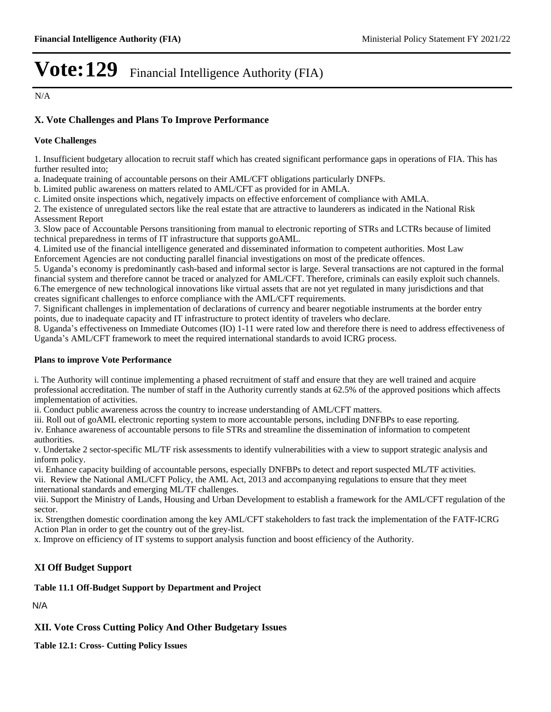N/A

### **X. Vote Challenges and Plans To Improve Performance**

#### **Vote Challenges**

1. Insufficient budgetary allocation to recruit staff which has created significant performance gaps in operations of FIA. This has further resulted into;

a. Inadequate training of accountable persons on their AML/CFT obligations particularly DNFPs.

b. Limited public awareness on matters related to AML/CFT as provided for in AMLA.

c. Limited onsite inspections which, negatively impacts on effective enforcement of compliance with AMLA.

2. The existence of unregulated sectors like the real estate that are attractive to launderers as indicated in the National Risk Assessment Report

3. Slow pace of Accountable Persons transitioning from manual to electronic reporting of STRs and LCTRs because of limited technical preparedness in terms of IT infrastructure that supports goAML.

4. Limited use of the financial intelligence generated and disseminated information to competent authorities. Most Law Enforcement Agencies are not conducting parallel financial investigations on most of the predicate offences.

5. Uganda¶s economy is predominantly cash-based and informal sector is large. Several transactions are not captured in the formal financial system and therefore cannot be traced or analyzed for AML/CFT. Therefore, criminals can easily exploit such channels. 6.The emergence of new technological innovations like virtual assets that are not yet regulated in many jurisdictions and that creates significant challenges to enforce compliance with the AML/CFT requirements.

7. Significant challenges in implementation of declarations of currency and bearer negotiable instruments at the border entry points, due to inadequate capacity and IT infrastructure to protect identity of travelers who declare.

8. Uganda's effectiveness on Immediate Outcomes (IO) 1-11 were rated low and therefore there is need to address effectiveness of Uganda's AML/CFT framework to meet the required international standards to avoid ICRG process.

#### **Plans to improve Vote Performance**

i. The Authority will continue implementing a phased recruitment of staff and ensure that they are well trained and acquire professional accreditation. The number of staff in the Authority currently stands at 62.5% of the approved positions which affects implementation of activities.

ii. Conduct public awareness across the country to increase understanding of AML/CFT matters.

iii. Roll out of goAML electronic reporting system to more accountable persons, including DNFBPs to ease reporting.

iv. Enhance awareness of accountable persons to file STRs and streamline the dissemination of information to competent authorities.

v. Undertake 2 sector-specific ML/TF risk assessments to identify vulnerabilities with a view to support strategic analysis and inform policy.

vi. Enhance capacity building of accountable persons, especially DNFBPs to detect and report suspected ML/TF activities. vii. Review the National AML/CFT Policy, the AML Act, 2013 and accompanying regulations to ensure that they meet international standards and emerging ML/TF challenges.

viii. Support the Ministry of Lands, Housing and Urban Development to establish a framework for the AML/CFT regulation of the sector.

ix. Strengthen domestic coordination among the key AML/CFT stakeholders to fast track the implementation of the FATF-ICRG Action Plan in order to get the country out of the grey-list.

x. Improve on efficiency of IT systems to support analysis function and boost efficiency of the Authority.

### **XI Off Budget Support**

### **Table 11.1 Off-Budget Support by Department and Project**

N/A

**XII. Vote Cross Cutting Policy And Other Budgetary Issues**

**Table 12.1: Cross- Cutting Policy Issues**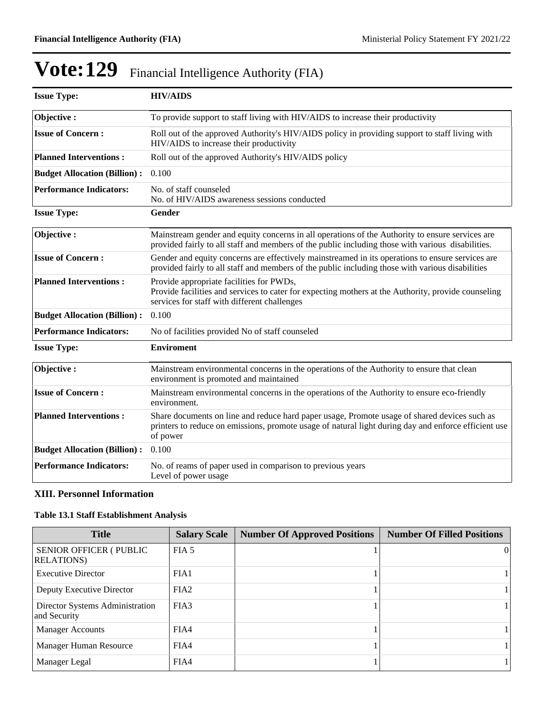| <b>Issue Type:</b>                  | <b>HIV/AIDS</b>                                                                                                                                                                                                  |
|-------------------------------------|------------------------------------------------------------------------------------------------------------------------------------------------------------------------------------------------------------------|
| Objective:                          | To provide support to staff living with HIV/AIDS to increase their productivity                                                                                                                                  |
| <b>Issue of Concern:</b>            | Roll out of the approved Authority's HIV/AIDS policy in providing support to staff living with<br>HIV/AIDS to increase their productivity                                                                        |
| <b>Planned Interventions:</b>       | Roll out of the approved Authority's HIV/AIDS policy                                                                                                                                                             |
| <b>Budget Allocation (Billion):</b> | 0.100                                                                                                                                                                                                            |
| <b>Performance Indicators:</b>      | No. of staff counseled<br>No. of HIV/AIDS awareness sessions conducted                                                                                                                                           |
| <b>Issue Type:</b>                  | Gender                                                                                                                                                                                                           |
| Objective:                          | Mainstream gender and equity concerns in all operations of the Authority to ensure services are<br>provided fairly to all staff and members of the public including those with various disabilities.             |
| <b>Issue of Concern:</b>            | Gender and equity concerns are effectively mainstreamed in its operations to ensure services are<br>provided fairly to all staff and members of the public including those with various disabilities             |
| <b>Planned Interventions:</b>       | Provide appropriate facilities for PWDs,<br>Provide facilities and services to cater for expecting mothers at the Authority, provide counseling<br>services for staff with different challenges                  |
| <b>Budget Allocation (Billion):</b> | 0.100                                                                                                                                                                                                            |
| <b>Performance Indicators:</b>      | No of facilities provided No of staff counseled                                                                                                                                                                  |
| <b>Issue Type:</b>                  | <b>Enviroment</b>                                                                                                                                                                                                |
| Objective:                          | Mainstream environmental concerns in the operations of the Authority to ensure that clean<br>environment is promoted and maintained                                                                              |
| <b>Issue of Concern:</b>            | Mainstream environmental concerns in the operations of the Authority to ensure eco-friendly<br>environment.                                                                                                      |
| <b>Planned Interventions:</b>       | Share documents on line and reduce hard paper usage, Promote usage of shared devices such as<br>printers to reduce on emissions, promote usage of natural light during day and enforce efficient use<br>of power |
| <b>Budget Allocation (Billion):</b> | 0.100                                                                                                                                                                                                            |
| <b>Performance Indicators:</b>      | No. of reams of paper used in comparison to previous years<br>Level of power usage                                                                                                                               |

### **XIII. Personnel Information**

### **Table 13.1 Staff Establishment Analysis**

| <b>Title</b>                                         | <b>Salary Scale</b> | <b>Number Of Approved Positions</b> | <b>Number Of Filled Positions</b> |
|------------------------------------------------------|---------------------|-------------------------------------|-----------------------------------|
| <b>SENIOR OFFICER (PUBLIC)</b><br><b>RELATIONS</b> ) | FIA <sub>5</sub>    |                                     | $\Omega$                          |
| <b>Executive Director</b>                            | FIA1                |                                     |                                   |
| Deputy Executive Director                            | FIA <sub>2</sub>    |                                     |                                   |
| Director Systems Administration<br>and Security      | FIA3                |                                     |                                   |
| <b>Manager Accounts</b>                              | FIA4                |                                     |                                   |
| Manager Human Resource                               | FIA4                |                                     |                                   |
| Manager Legal                                        | FIA4                |                                     |                                   |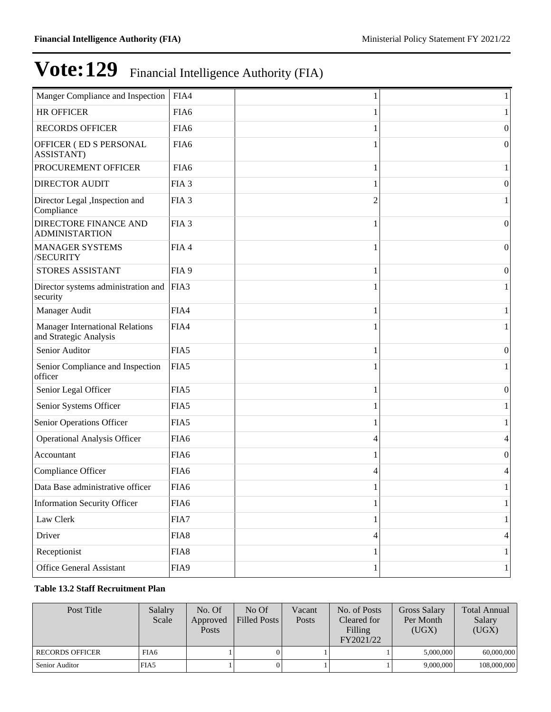| Manger Compliance and Inspection                                 | FIA4             |   | 1                |
|------------------------------------------------------------------|------------------|---|------------------|
| <b>HR OFFICER</b>                                                | FIA6             |   |                  |
| <b>RECORDS OFFICER</b>                                           | FIA6             |   | $\theta$         |
| OFFICER (ED S PERSONAL<br>ASSISTANT)                             | FIA6             |   | $\theta$         |
| PROCUREMENT OFFICER                                              | FIA <sub>6</sub> |   |                  |
| <b>DIRECTOR AUDIT</b>                                            | FIA <sub>3</sub> |   | $\theta$         |
| Director Legal , Inspection and<br>Compliance                    | FIA <sub>3</sub> | 2 |                  |
| <b>DIRECTORE FINANCE AND</b><br><b>ADMINISTARTION</b>            | FIA <sub>3</sub> |   | $\boldsymbol{0}$ |
| <b>MANAGER SYSTEMS</b><br>/SECURITY                              | FIA4             |   | $\theta$         |
| STORES ASSISTANT                                                 | FIA <sub>9</sub> |   | $\boldsymbol{0}$ |
| Director systems administration and<br>security                  | FIA3             |   | 1                |
| Manager Audit                                                    | FIA4             |   | 1                |
| <b>Manager International Relations</b><br>and Strategic Analysis | FIA4             |   |                  |
| Senior Auditor                                                   | FIA5             |   | 0                |
| Senior Compliance and Inspection<br>officer                      | FIA5             |   |                  |
| Senior Legal Officer                                             | FIA5             |   | $\boldsymbol{0}$ |
| Senior Systems Officer                                           | FIA5             |   | 1                |
| Senior Operations Officer                                        | FIA5             |   |                  |
| <b>Operational Analysis Officer</b>                              | FIA <sub>6</sub> | 4 | 4                |
| Accountant                                                       | FIA <sub>6</sub> |   | $\theta$         |
| Compliance Officer                                               | FIA6             | 4 | 4                |
| Data Base administrative officer                                 | FIA6             | 1 | $\mathbf{1}$     |
| <b>Information Security Officer</b>                              | FIA <sub>6</sub> | 1 | $\mathbf{1}$     |
| Law Clerk                                                        | FIA7             |   | 1                |
| Driver                                                           | FIA8             | 4 | 4                |
| Receptionist                                                     | FIA8             |   | 1                |
| Office General Assistant                                         | FIA9             | 1 | $\mathbf{1}$     |

### **Table 13.2 Staff Recruitment Plan**

| Post Title             | Salalry<br>Scale | No. Of<br>Approved<br><b>Posts</b> | No Of<br>Filled Posts | Vacant<br>Posts | No. of Posts<br>Cleared for<br>Filling<br>FY2021/22 | <b>Gross Salary</b><br>Per Month<br>(UGX) | <b>Total Annual</b><br>Salary<br>(UGX) |
|------------------------|------------------|------------------------------------|-----------------------|-----------------|-----------------------------------------------------|-------------------------------------------|----------------------------------------|
| <b>RECORDS OFFICER</b> | FIA6             |                                    |                       |                 |                                                     | 5,000,000                                 | 60,000,000                             |
| Senior Auditor         | FIA5             |                                    |                       |                 |                                                     | 9.000.000                                 | 108,000,000                            |